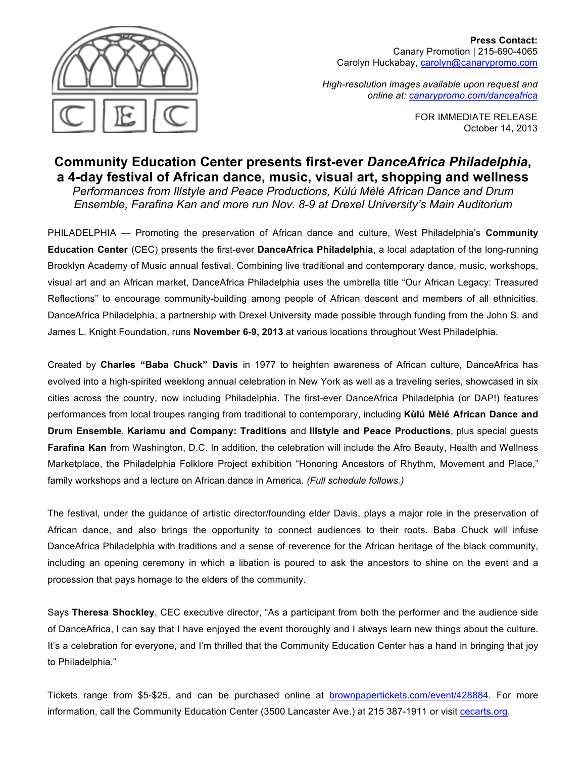

**Press Contact:**  Canary Promotion | 215-690-4065 Carolyn Huckabay, carolyn@canarypromo.com

*High-resolution images available upon request and online at: canarypromo.com/danceafrica*

> FOR IMMEDIATE RELEASE October 14, 2013

# **Community Education Center presents first-ever** *DanceAfrica Philadelphia***, a 4-day festival of African dance, music, visual art, shopping and wellness**

*Performances from Illstyle and Peace Productions, Kùlú Mèlé African Dance and Drum Ensemble, Farafina Kan and more run Nov. 8-9 at Drexel University's Main Auditorium* 

PHILADELPHIA — Promoting the preservation of African dance and culture, West Philadelphia's **Community Education Center** (CEC) presents the first-ever **DanceAfrica Philadelphia**, a local adaptation of the long-running Brooklyn Academy of Music annual festival. Combining live traditional and contemporary dance, music, workshops, visual art and an African market, DanceAfrica Philadelphia uses the umbrella title "Our African Legacy: Treasured Reflections" to encourage community-building among people of African descent and members of all ethnicities. DanceAfrica Philadelphia, a partnership with Drexel University made possible through funding from the John S. and James L. Knight Foundation, runs **November 6-9, 2013** at various locations throughout West Philadelphia.

Created by **Charles "Baba Chuck" Davis** in 1977 to heighten awareness of African culture, DanceAfrica has evolved into a high-spirited weeklong annual celebration in New York as well as a traveling series, showcased in six cities across the country, now including Philadelphia. The first-ever DanceAfrica Philadelphia (or DAP!) features performances from local troupes ranging from traditional to contemporary, including **Kùlú Mèlé African Dance and Drum Ensemble**, **Kariamu and Company: Traditions** and **Illstyle and Peace Productions**, plus special guests **Farafina Kan** from Washington, D.C. In addition, the celebration will include the Afro Beauty, Health and Wellness Marketplace, the Philadelphia Folklore Project exhibition "Honoring Ancestors of Rhythm, Movement and Place," family workshops and a lecture on African dance in America. *(Full schedule follows.)*

The festival, under the guidance of artistic director/founding elder Davis, plays a major role in the preservation of African dance, and also brings the opportunity to connect audiences to their roots. Baba Chuck will infuse DanceAfrica Philadelphia with traditions and a sense of reverence for the African heritage of the black community, including an opening ceremony in which a libation is poured to ask the ancestors to shine on the event and a procession that pays homage to the elders of the community.

Says **Theresa Shockley**, CEC executive director, "As a participant from both the performer and the audience side of DanceAfrica, I can say that I have enjoyed the event thoroughly and I always learn new things about the culture. It's a celebration for everyone, and I'm thrilled that the Community Education Center has a hand in bringing that joy to Philadelphia."

Tickets range from \$5-\$25, and can be purchased online at brownpapertickets.com/event/428884. For more information, call the Community Education Center (3500 Lancaster Ave.) at 215 387-1911 or visit cecarts.org.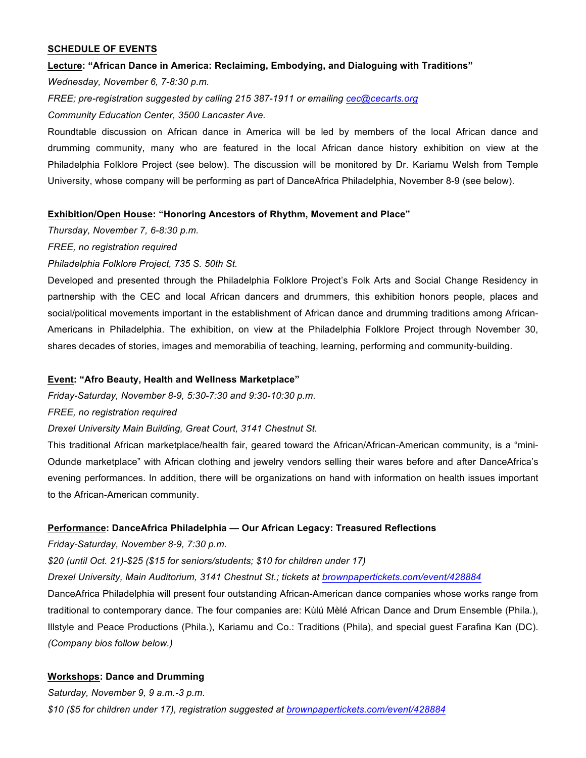## **SCHEDULE OF EVENTS**

## **Lecture: "African Dance in America: Reclaiming, Embodying, and Dialoguing with Traditions"**

*Wednesday, November 6, 7-8:30 p.m.*

*FREE; pre-registration suggested by calling 215 387-1911 or emailing cec@cecarts.org*

*Community Education Center, 3500 Lancaster Ave.*

Roundtable discussion on African dance in America will be led by members of the local African dance and drumming community, many who are featured in the local African dance history exhibition on view at the Philadelphia Folklore Project (see below). The discussion will be monitored by Dr. Kariamu Welsh from Temple University, whose company will be performing as part of DanceAfrica Philadelphia, November 8-9 (see below).

## **Exhibition/Open House: "Honoring Ancestors of Rhythm, Movement and Place"**

*Thursday, November 7, 6-8:30 p.m.*

## *FREE, no registration required*

*Philadelphia Folklore Project, 735 S. 50th St.*

Developed and presented through the Philadelphia Folklore Project's Folk Arts and Social Change Residency in partnership with the CEC and local African dancers and drummers, this exhibition honors people, places and social/political movements important in the establishment of African dance and drumming traditions among African-Americans in Philadelphia. The exhibition, on view at the Philadelphia Folklore Project through November 30, shares decades of stories, images and memorabilia of teaching, learning, performing and community-building.

## **Event: "Afro Beauty, Health and Wellness Marketplace"**

*Friday-Saturday, November 8-9, 5:30-7:30 and 9:30-10:30 p.m.*

## *FREE, no registration required*

*Drexel University Main Building, Great Court, 3141 Chestnut St.*

This traditional African marketplace/health fair, geared toward the African/African-American community, is a "mini-Odunde marketplace" with African clothing and jewelry vendors selling their wares before and after DanceAfrica's evening performances. In addition, there will be organizations on hand with information on health issues important to the African-American community.

## **Performance: DanceAfrica Philadelphia — Our African Legacy: Treasured Reflections**

*Friday-Saturday, November 8-9, 7:30 p.m.*

# *\$20 (until Oct. 21)-\$25 (\$15 for seniors/students; \$10 for children under 17)*

*Drexel University, Main Auditorium, 3141 Chestnut St.; tickets at brownpapertickets.com/event/428884*

DanceAfrica Philadelphia will present four outstanding African-American dance companies whose works range from traditional to contemporary dance. The four companies are: Kùlú Mèlé African Dance and Drum Ensemble (Phila.), Illstyle and Peace Productions (Phila.), Kariamu and Co.: Traditions (Phila), and special guest Farafina Kan (DC). *(Company bios follow below.)*

# **Workshops: Dance and Drumming**

*Saturday, November 9, 9 a.m.-3 p.m. \$10 (\$5 for children under 17), registration suggested at brownpapertickets.com/event/428884*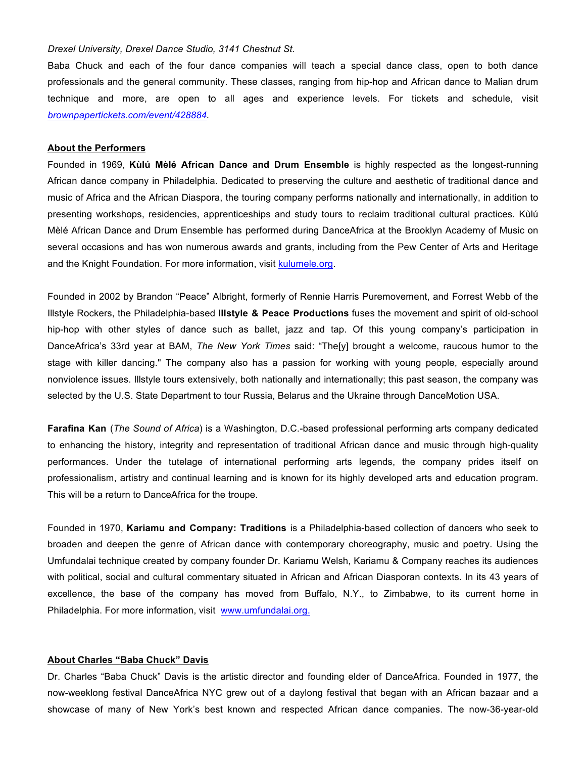### *Drexel University, Drexel Dance Studio, 3141 Chestnut St.*

Baba Chuck and each of the four dance companies will teach a special dance class, open to both dance professionals and the general community. These classes, ranging from hip-hop and African dance to Malian drum technique and more, are open to all ages and experience levels. For tickets and schedule, visit *brownpapertickets.com/event/428884.*

#### **About the Performers**

Founded in 1969, **Kùlú Mèlé African Dance and Drum Ensemble** is highly respected as the longest-running African dance company in Philadelphia. Dedicated to preserving the culture and aesthetic of traditional dance and music of Africa and the African Diaspora, the touring company performs nationally and internationally, in addition to presenting workshops, residencies, apprenticeships and study tours to reclaim traditional cultural practices. Kùlú Mèlé African Dance and Drum Ensemble has performed during DanceAfrica at the Brooklyn Academy of Music on several occasions and has won numerous awards and grants, including from the Pew Center of Arts and Heritage and the Knight Foundation. For more information, visit kulumele.org.

Founded in 2002 by Brandon "Peace" Albright, formerly of Rennie Harris Puremovement, and Forrest Webb of the Illstyle Rockers, the Philadelphia-based **Illstyle & Peace Productions** fuses the movement and spirit of old-school hip-hop with other styles of dance such as ballet, jazz and tap. Of this young company's participation in DanceAfrica's 33rd year at BAM, *The New York Times* said: "The[y] brought a welcome, raucous humor to the stage with killer dancing." The company also has a passion for working with young people, especially around nonviolence issues. Illstyle tours extensively, both nationally and internationally; this past season, the company was selected by the U.S. State Department to tour Russia, Belarus and the Ukraine through DanceMotion USA.

**Farafina Kan** (*The Sound of Africa*) is a Washington, D.C.-based professional performing arts company dedicated to enhancing the history, integrity and representation of traditional African dance and music through high-quality performances. Under the tutelage of international performing arts legends, the company prides itself on professionalism, artistry and continual learning and is known for its highly developed arts and education program. This will be a return to DanceAfrica for the troupe.

Founded in 1970, **Kariamu and Company: Traditions** is a Philadelphia-based collection of dancers who seek to broaden and deepen the genre of African dance with contemporary choreography, music and poetry. Using the Umfundalai technique created by company founder Dr. Kariamu Welsh, Kariamu & Company reaches its audiences with political, social and cultural commentary situated in African and African Diasporan contexts. In its 43 years of excellence, the base of the company has moved from Buffalo, N.Y., to Zimbabwe, to its current home in Philadelphia. For more information, visit www.umfundalai.org.

#### **About Charles "Baba Chuck" Davis**

Dr. Charles "Baba Chuck" Davis is the artistic director and founding elder of DanceAfrica. Founded in 1977, the now-weeklong festival DanceAfrica NYC grew out of a daylong festival that began with an African bazaar and a showcase of many of New York's best known and respected African dance companies. The now-36-year-old